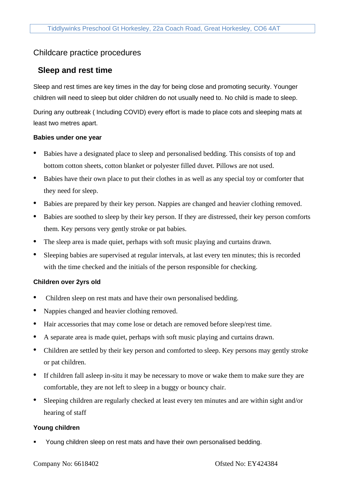# Childcare practice procedures

## **Sleep and rest time**

Sleep and rest times are key times in the day for being close and promoting security. Younger children will need to sleep but older children do not usually need to. No child is made to sleep.

During any outbreak ( Including COVID) every effort is made to place cots and sleeping mats at least two metres apart.

#### **Babies under one year**

- Babies have a designated place to sleep and personalised bedding. This consists of top and bottom cotton sheets, cotton blanket or polyester filled duvet. Pillows are not used.
- Babies have their own place to put their clothes in as well as any special toy or comforter that they need for sleep.
- Babies are prepared by their key person. Nappies are changed and heavier clothing removed.
- Babies are soothed to sleep by their key person. If they are distressed, their key person comforts them. Key persons very gently stroke or pat babies.
- The sleep area is made quiet, perhaps with soft music playing and curtains drawn.
- Sleeping babies are supervised at regular intervals, at last every ten minutes; this is recorded with the time checked and the initials of the person responsible for checking.

## **Children over 2yrs old**

- Children sleep on rest mats and have their own personalised bedding.
- Nappies changed and heavier clothing removed.
- Hair accessories that may come lose or detach are removed before sleep/rest time.
- A separate area is made quiet, perhaps with soft music playing and curtains drawn.
- Children are settled by their key person and comforted to sleep. Key persons may gently stroke or pat children.
- If children fall asleep in-situ it may be necessary to move or wake them to make sure they are comfortable, they are not left to sleep in a buggy or bouncy chair.
- Sleeping children are regularly checked at least every ten minutes and are within sight and/or hearing of staff

## **Young children**

Young children sleep on rest mats and have their own personalised bedding.